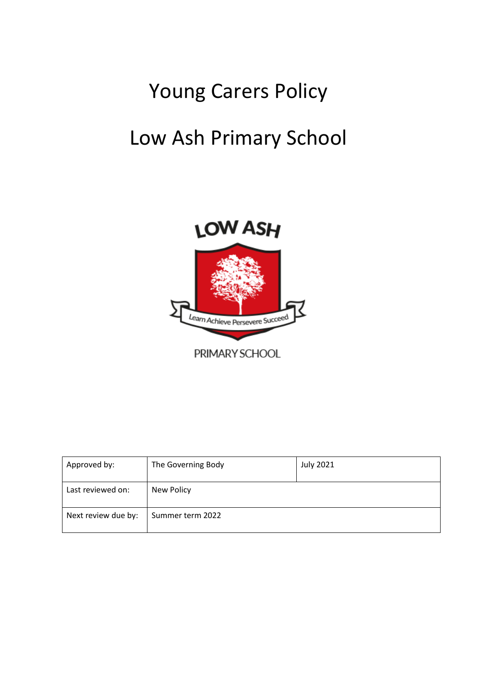# Young Carers Policy Low Ash Primary School



| Approved by:        | The Governing Body | <b>July 2021</b> |
|---------------------|--------------------|------------------|
| Last reviewed on:   | New Policy         |                  |
| Next review due by: | Summer term 2022   |                  |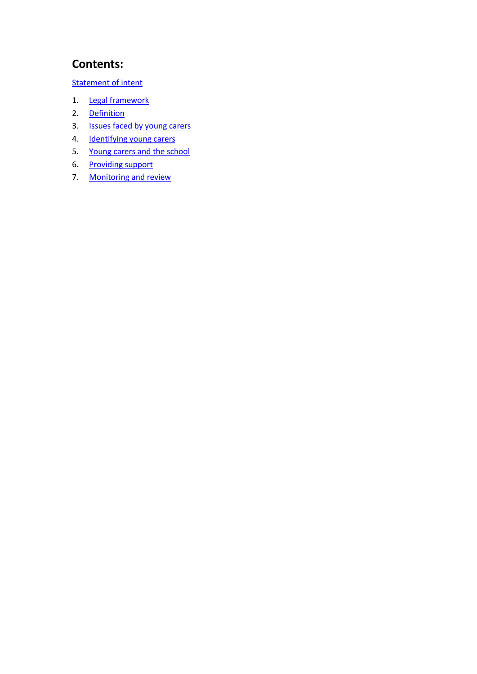# **Contents:**

[Statement of intent](#page-2-0)

- 1. [Legal framework](#page-3-0)
- 2. [Definition](#page-3-1)
- 3. <u>Issues faced by young carers</u>
- 4. [Identifying young carers](#page-4-1)
- 5. [Young carers and the school](#page-5-0)
- 6. [Providing support](#page-6-0)
- 7. Monitoring and review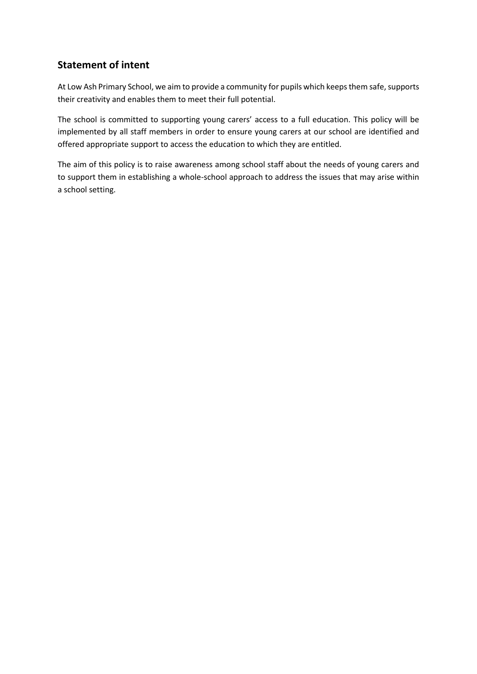# <span id="page-2-0"></span>**Statement of intent**

At Low Ash Primary School, we aim to provide a community for pupils which keeps them safe, supports their creativity and enables them to meet their full potential.

The school is committed to supporting young carers' access to a full education. This policy will be implemented by all staff members in order to ensure young carers at our school are identified and offered appropriate support to access the education to which they are entitled.

The aim of this policy is to raise awareness among school staff about the needs of young carers and to support them in establishing a whole-school approach to address the issues that may arise within a school setting.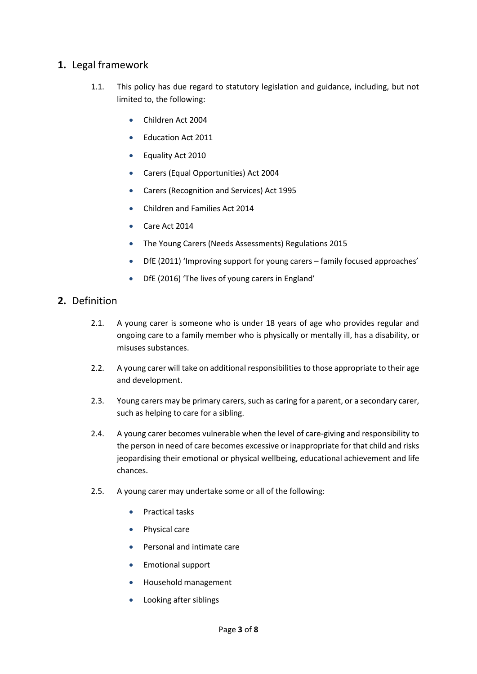## <span id="page-3-0"></span>**1.** Legal framework

- 1.1. This policy has due regard to statutory legislation and guidance, including, but not limited to, the following:
	- Children Act 2004
	- Education Act 2011
	- Equality Act 2010
	- Carers (Equal Opportunities) Act 2004
	- Carers (Recognition and Services) Act 1995
	- Children and Families Act 2014
	- Care Act 2014
	- The Young Carers (Needs Assessments) Regulations 2015
	- DfE (2011) 'Improving support for young carers family focused approaches'
	- DfE (2016) 'The lives of young carers in England'

# <span id="page-3-1"></span>**2.** Definition

- 2.1. A young carer is someone who is under 18 years of age who provides regular and ongoing care to a family member who is physically or mentally ill, has a disability, or misuses substances.
- 2.2. A young carer will take on additional responsibilities to those appropriate to their age and development.
- 2.3. Young carers may be primary carers, such as caring for a parent, or a secondary carer, such as helping to care for a sibling.
- 2.4. A young carer becomes vulnerable when the level of care-giving and responsibility to the person in need of care becomes excessive or inappropriate for that child and risks jeopardising their emotional or physical wellbeing, educational achievement and life chances.
- 2.5. A young carer may undertake some or all of the following:
	- Practical tasks
	- Physical care
	- Personal and intimate care
	- Emotional support
	- Household management
	- Looking after siblings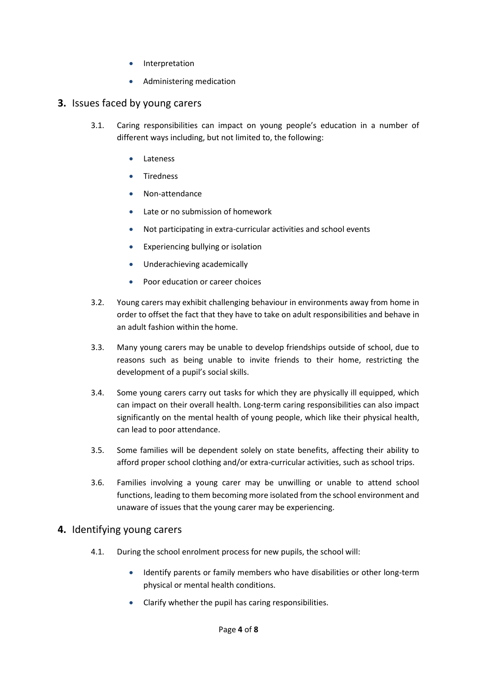- **Interpretation**
- Administering medication

#### <span id="page-4-0"></span>**3.** Issues faced by young carers

- 3.1. Caring responsibilities can impact on young people's education in a number of different ways including, but not limited to, the following:
	- **Lateness**
	- Tiredness
	- Non-attendance
	- Late or no submission of homework
	- Not participating in extra-curricular activities and school events
	- Experiencing bullying or isolation
	- Underachieving academically
	- Poor education or career choices
- 3.2. Young carers may exhibit challenging behaviour in environments away from home in order to offset the fact that they have to take on adult responsibilities and behave in an adult fashion within the home.
- 3.3. Many young carers may be unable to develop friendships outside of school, due to reasons such as being unable to invite friends to their home, restricting the development of a pupil's social skills.
- 3.4. Some young carers carry out tasks for which they are physically ill equipped, which can impact on their overall health. Long-term caring responsibilities can also impact significantly on the mental health of young people, which like their physical health, can lead to poor attendance.
- 3.5. Some families will be dependent solely on state benefits, affecting their ability to afford proper school clothing and/or extra-curricular activities, such as school trips.
- 3.6. Families involving a young carer may be unwilling or unable to attend school functions, leading to them becoming more isolated from the school environment and unaware of issues that the young carer may be experiencing.

#### <span id="page-4-1"></span>**4.** Identifying young carers

- 4.1. During the school enrolment process for new pupils, the school will:
	- Identify parents or family members who have disabilities or other long-term physical or mental health conditions.
	- Clarify whether the pupil has caring responsibilities.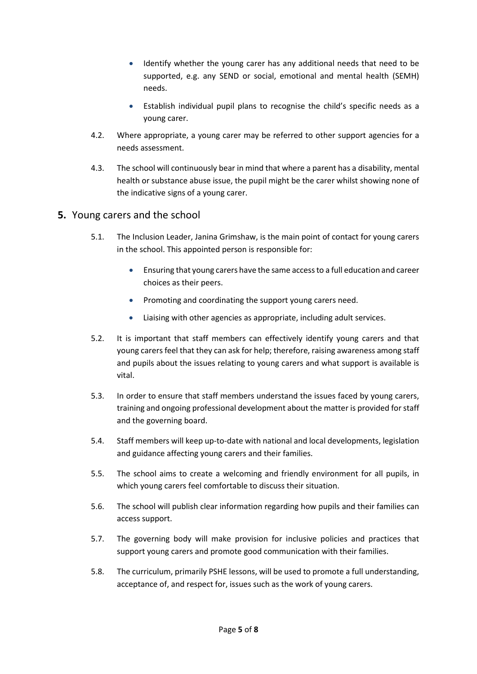- Identify whether the young carer has any additional needs that need to be supported, e.g. any SEND or social, emotional and mental health (SEMH) needs.
- Establish individual pupil plans to recognise the child's specific needs as a young carer.
- 4.2. Where appropriate, a young carer may be referred to other support agencies for a needs assessment.
- 4.3. The school will continuously bear in mind that where a parent has a disability, mental health or substance abuse issue, the pupil might be the carer whilst showing none of the indicative signs of a young carer.

## <span id="page-5-0"></span>**5.** Young carers and the school

- 5.1. The Inclusion Leader, Janina Grimshaw, is the main point of contact for young carers in the school. This appointed person is responsible for:
	- Ensuring that young carers have the same access to a full education and career choices as their peers.
	- Promoting and coordinating the support young carers need.
	- Liaising with other agencies as appropriate, including adult services.
- 5.2. It is important that staff members can effectively identify young carers and that young carers feel that they can ask for help; therefore, raising awareness among staff and pupils about the issues relating to young carers and what support is available is vital.
- 5.3. In order to ensure that staff members understand the issues faced by young carers, training and ongoing professional development about the matter is provided for staff and the governing board.
- 5.4. Staff members will keep up-to-date with national and local developments, legislation and guidance affecting young carers and their families.
- 5.5. The school aims to create a welcoming and friendly environment for all pupils, in which young carers feel comfortable to discuss their situation.
- 5.6. The school will publish clear information regarding how pupils and their families can access support.
- 5.7. The governing body will make provision for inclusive policies and practices that support young carers and promote good communication with their families.
- 5.8. The curriculum, primarily PSHE lessons, will be used to promote a full understanding, acceptance of, and respect for, issues such as the work of young carers.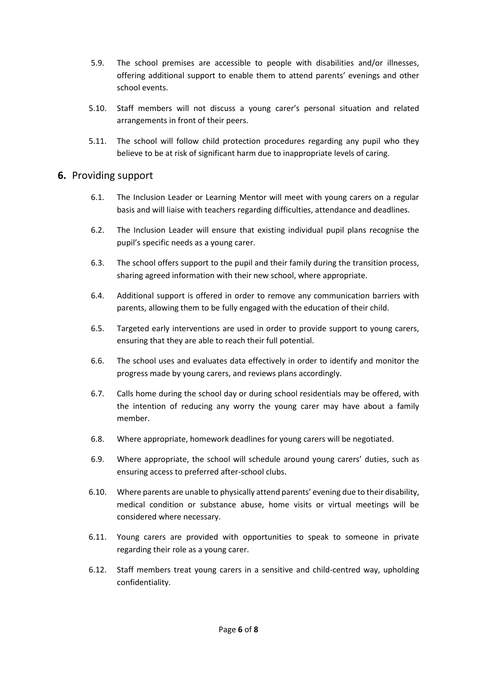- 5.9. The school premises are accessible to people with disabilities and/or illnesses, offering additional support to enable them to attend parents' evenings and other school events.
- 5.10. Staff members will not discuss a young carer's personal situation and related arrangements in front of their peers.
- 5.11. The school will follow child protection procedures regarding any pupil who they believe to be at risk of significant harm due to inappropriate levels of caring.

#### <span id="page-6-0"></span>**6.** Providing support

- 6.1. The Inclusion Leader or Learning Mentor will meet with young carers on a regular basis and will liaise with teachers regarding difficulties, attendance and deadlines.
- 6.2. The Inclusion Leader will ensure that existing individual pupil plans recognise the pupil's specific needs as a young carer.
- 6.3. The school offers support to the pupil and their family during the transition process, sharing agreed information with their new school, where appropriate.
- 6.4. Additional support is offered in order to remove any communication barriers with parents, allowing them to be fully engaged with the education of their child.
- 6.5. Targeted early interventions are used in order to provide support to young carers, ensuring that they are able to reach their full potential.
- 6.6. The school uses and evaluates data effectively in order to identify and monitor the progress made by young carers, and reviews plans accordingly.
- 6.7. Calls home during the school day or during school residentials may be offered, with the intention of reducing any worry the young carer may have about a family member.
- 6.8. Where appropriate, homework deadlines for young carers will be negotiated.
- 6.9. Where appropriate, the school will schedule around young carers' duties, such as ensuring access to preferred after-school clubs.
- 6.10. Where parents are unable to physically attend parents' evening due to their disability, medical condition or substance abuse, home visits or virtual meetings will be considered where necessary.
- 6.11. Young carers are provided with opportunities to speak to someone in private regarding their role as a young carer.
- 6.12. Staff members treat young carers in a sensitive and child-centred way, upholding confidentiality.